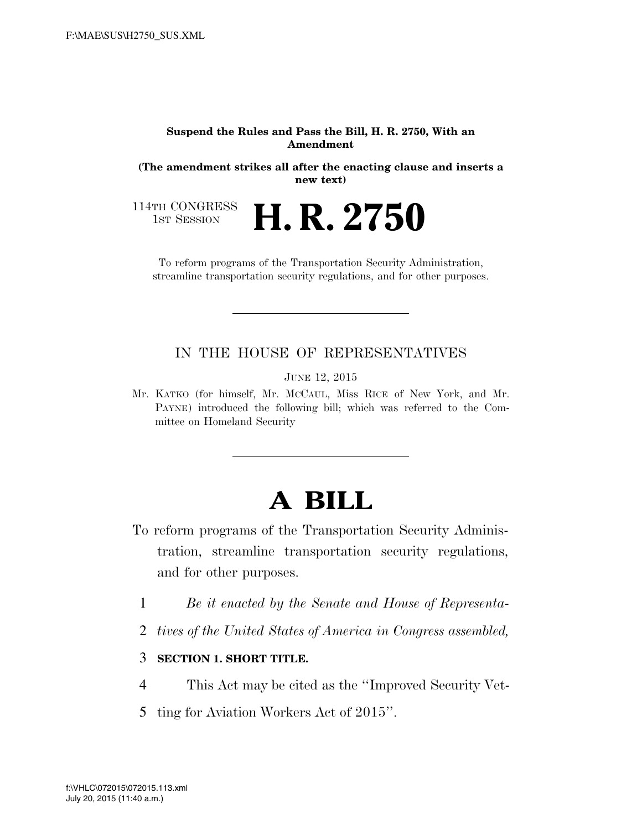#### **Suspend the Rules and Pass the Bill, H. R. 2750, With an Amendment**

**(The amendment strikes all after the enacting clause and inserts a new text)** 

**H. R. 2750** 

114TH CONGRESS<br>1st Session

To reform programs of the Transportation Security Administration, streamline transportation security regulations, and for other purposes.

## IN THE HOUSE OF REPRESENTATIVES

JUNE 12, 2015

Mr. KATKO (for himself, Mr. MCCAUL, Miss RICE of New York, and Mr. PAYNE) introduced the following bill; which was referred to the Committee on Homeland Security

# **A BILL**

- To reform programs of the Transportation Security Administration, streamline transportation security regulations, and for other purposes.
	- 1 *Be it enacted by the Senate and House of Representa-*
	- 2 *tives of the United States of America in Congress assembled,*

### 3 **SECTION 1. SHORT TITLE.**

- 4 This Act may be cited as the ''Improved Security Vet-
- 5 ting for Aviation Workers Act of 2015''.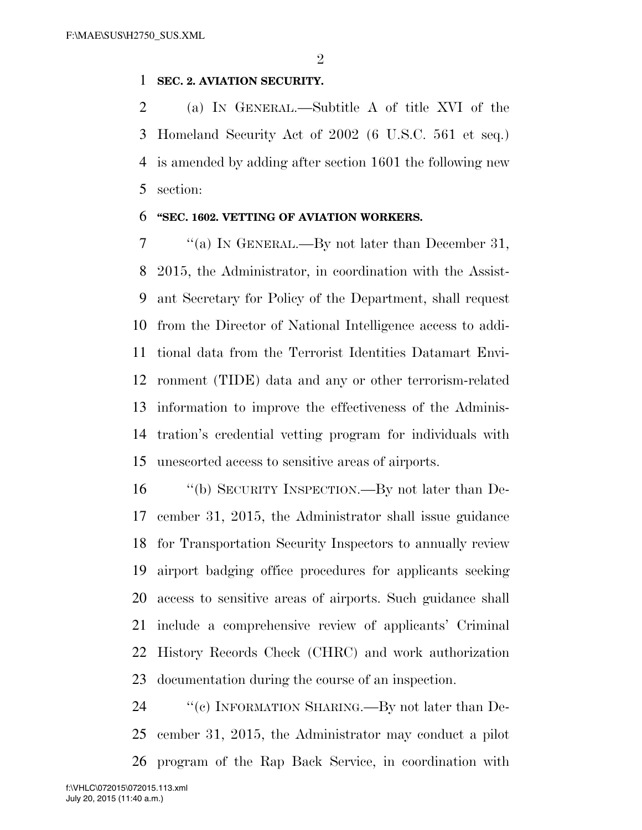$\mathfrak{D}$ 

### **SEC. 2. AVIATION SECURITY.**

 (a) IN GENERAL.—Subtitle A of title XVI of the Homeland Security Act of 2002 (6 U.S.C. 561 et seq.) is amended by adding after section 1601 the following new section:

#### **''SEC. 1602. VETTING OF AVIATION WORKERS.**

 ''(a) IN GENERAL.—By not later than December 31, 2015, the Administrator, in coordination with the Assist- ant Secretary for Policy of the Department, shall request from the Director of National Intelligence access to addi- tional data from the Terrorist Identities Datamart Envi- ronment (TIDE) data and any or other terrorism-related information to improve the effectiveness of the Adminis- tration's credential vetting program for individuals with unescorted access to sensitive areas of airports.

 ''(b) SECURITY INSPECTION.—By not later than De- cember 31, 2015, the Administrator shall issue guidance for Transportation Security Inspectors to annually review airport badging office procedures for applicants seeking access to sensitive areas of airports. Such guidance shall include a comprehensive review of applicants' Criminal History Records Check (CHRC) and work authorization documentation during the course of an inspection.

24 "'(c) INFORMATION SHARING.—By not later than De- cember 31, 2015, the Administrator may conduct a pilot program of the Rap Back Service, in coordination with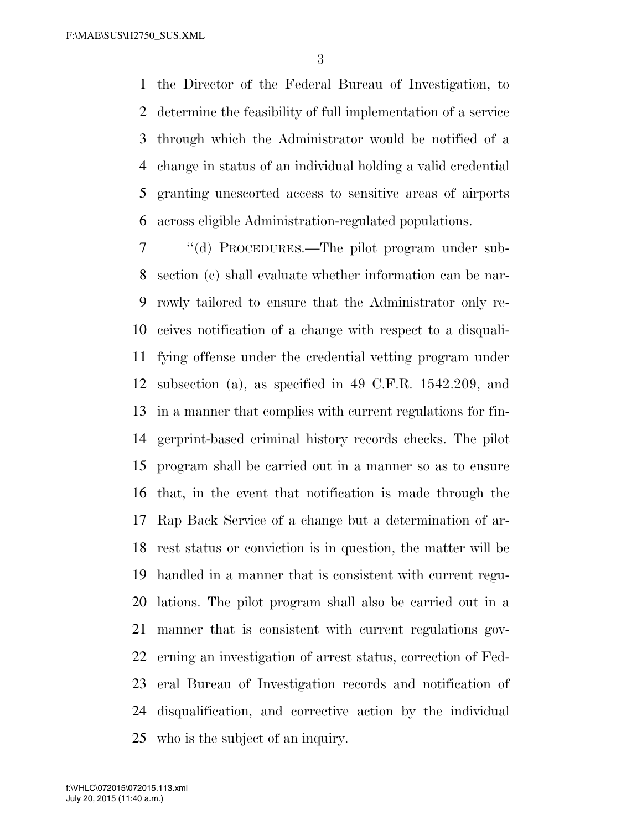the Director of the Federal Bureau of Investigation, to determine the feasibility of full implementation of a service through which the Administrator would be notified of a change in status of an individual holding a valid credential granting unescorted access to sensitive areas of airports across eligible Administration-regulated populations.

 ''(d) PROCEDURES.—The pilot program under sub- section (c) shall evaluate whether information can be nar- rowly tailored to ensure that the Administrator only re- ceives notification of a change with respect to a disquali- fying offense under the credential vetting program under subsection (a), as specified in 49 C.F.R. 1542.209, and in a manner that complies with current regulations for fin- gerprint-based criminal history records checks. The pilot program shall be carried out in a manner so as to ensure that, in the event that notification is made through the Rap Back Service of a change but a determination of ar- rest status or conviction is in question, the matter will be handled in a manner that is consistent with current regu- lations. The pilot program shall also be carried out in a manner that is consistent with current regulations gov- erning an investigation of arrest status, correction of Fed- eral Bureau of Investigation records and notification of disqualification, and corrective action by the individual who is the subject of an inquiry.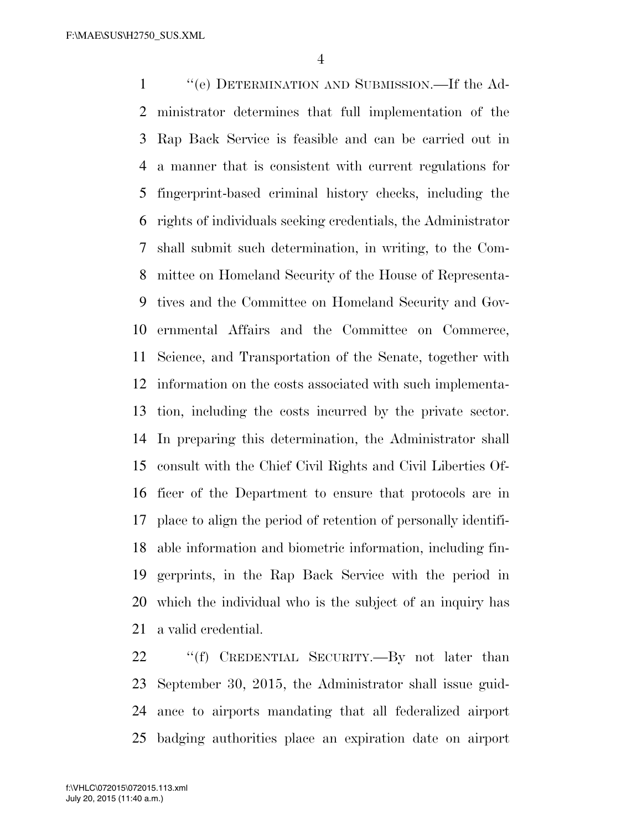''(e) DETERMINATION AND SUBMISSION.—If the Ad- ministrator determines that full implementation of the Rap Back Service is feasible and can be carried out in a manner that is consistent with current regulations for fingerprint-based criminal history checks, including the rights of individuals seeking credentials, the Administrator shall submit such determination, in writing, to the Com- mittee on Homeland Security of the House of Representa- tives and the Committee on Homeland Security and Gov- ernmental Affairs and the Committee on Commerce, Science, and Transportation of the Senate, together with information on the costs associated with such implementa- tion, including the costs incurred by the private sector. In preparing this determination, the Administrator shall consult with the Chief Civil Rights and Civil Liberties Of- ficer of the Department to ensure that protocols are in place to align the period of retention of personally identifi- able information and biometric information, including fin- gerprints, in the Rap Back Service with the period in which the individual who is the subject of an inquiry has a valid credential.

22 "'(f) CREDENTIAL SECURITY.—By not later than September 30, 2015, the Administrator shall issue guid- ance to airports mandating that all federalized airport badging authorities place an expiration date on airport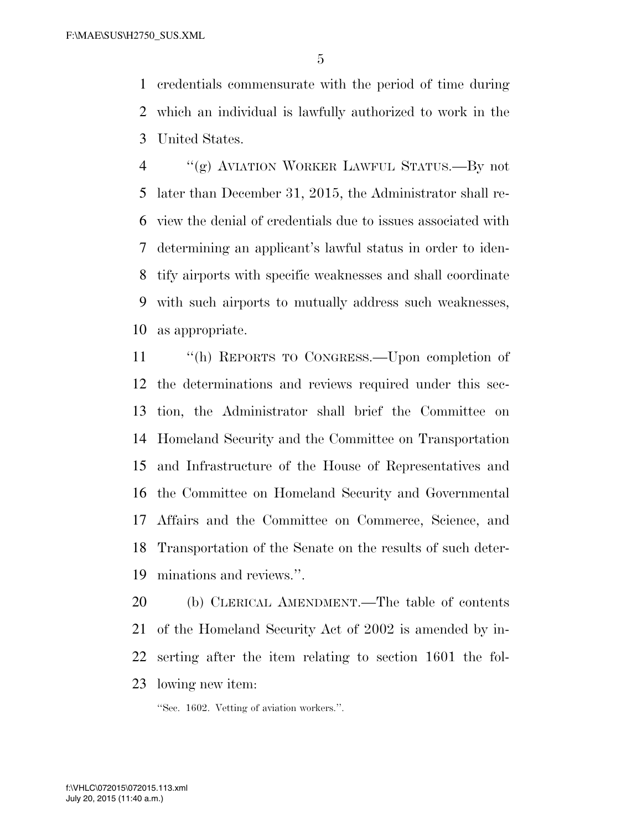credentials commensurate with the period of time during which an individual is lawfully authorized to work in the United States.

 ''(g) AVIATION WORKER LAWFUL STATUS.—By not later than December 31, 2015, the Administrator shall re- view the denial of credentials due to issues associated with determining an applicant's lawful status in order to iden- tify airports with specific weaknesses and shall coordinate with such airports to mutually address such weaknesses, as appropriate.

 ''(h) REPORTS TO CONGRESS.—Upon completion of the determinations and reviews required under this sec- tion, the Administrator shall brief the Committee on Homeland Security and the Committee on Transportation and Infrastructure of the House of Representatives and the Committee on Homeland Security and Governmental Affairs and the Committee on Commerce, Science, and Transportation of the Senate on the results of such deter-minations and reviews.''.

 (b) CLERICAL AMENDMENT.—The table of contents of the Homeland Security Act of 2002 is amended by in- serting after the item relating to section 1601 the fol-lowing new item:

''Sec. 1602. Vetting of aviation workers.''.